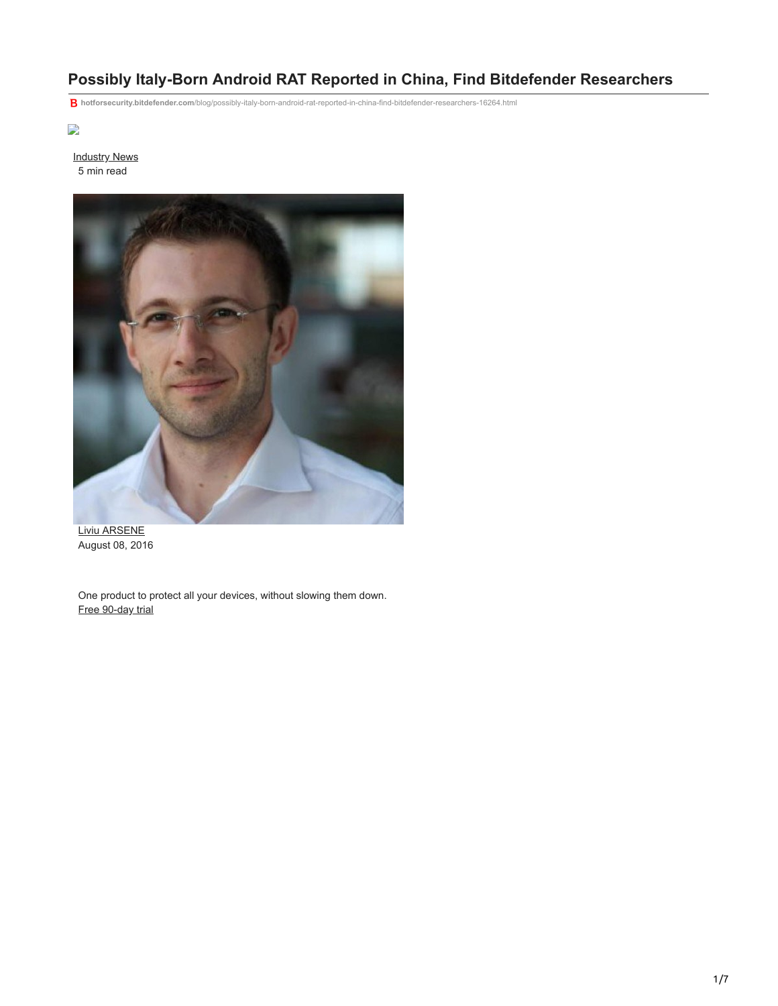# **Possibly Italy-Born Android RAT Reported in China, Find Bitdefender Researchers**

**hotforsecurity.bitdefender.com**[/blog/possibly-italy-born-android-rat-reported-in-china-find-bitdefender-researchers-16264.html](https://hotforsecurity.bitdefender.com/blog/possibly-italy-born-android-rat-reported-in-china-find-bitdefender-researchers-16264.html)

# $\overline{\phantom{a}}$

[Industry News](http://10.10.0.46/blog/hotforsecurity/tag/industry-news/) 5 min read



[Liviu ARSENE](http://10.10.0.46/blog/hotforsecurity/author/larsene/) August 08, 2016

One product to protect all your devices, without slowing them down. [Free 90-day trial](http://10.10.0.46/media/html/consumer/new/get-your-90-day-trial-opt/index.html)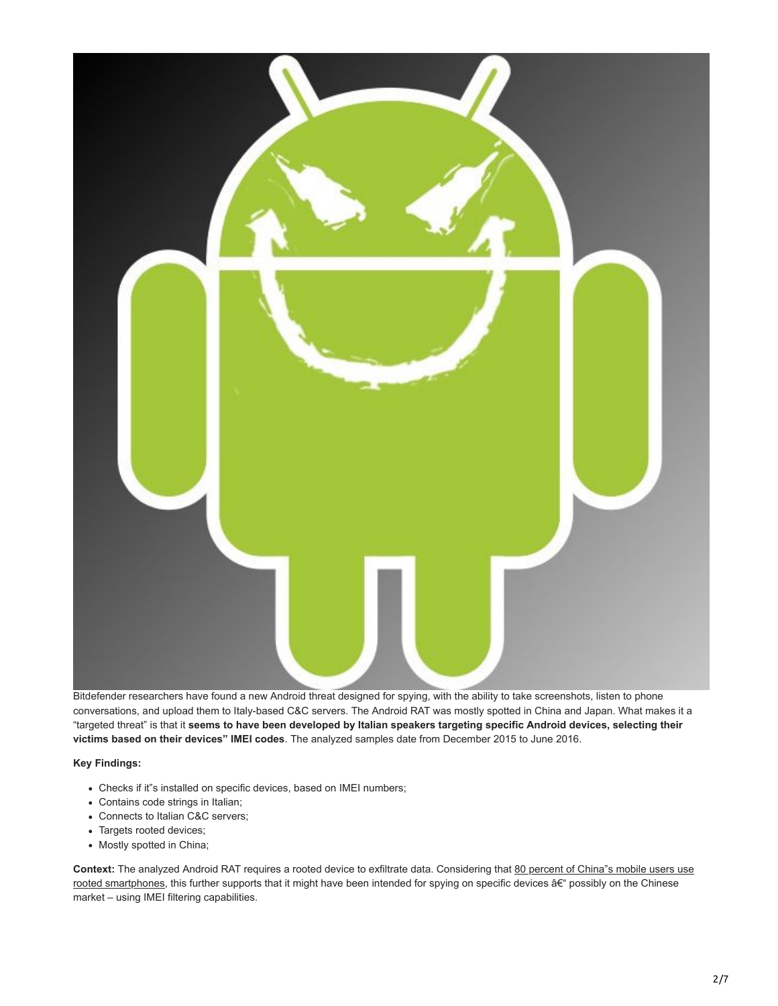

Bitdefender researchers have found a new Android threat designed for spying, with the ability to take screenshots, listen to phone conversations, and upload them to Italy-based C&C servers. The Android RAT was mostly spotted in China and Japan. What makes it a "targeted threat" is that it **seems to have been developed by Italian speakers targeting specific Android devices, selecting their victims based on their devices" IMEI codes**. The analyzed samples date from December 2015 to June 2016.

**Key Findings:**

- Checks if it"s installed on specific devices, based on IMEI numbers;
- Contains code strings in Italian;
- Connects to Italian C&C servers;
- Targets rooted devices;
- Mostly spotted in China;

**Context:** The analyzed Android RAT requires a rooted device to exfiltrate data. Considering that 80 percent of China"s mobile users use rooted smartphones, this further supports that it might have been intended for spying on specific devices  $a \in \mathbb{R}^d$  possibly on the Chinese market – using IMEI filtering capabilities.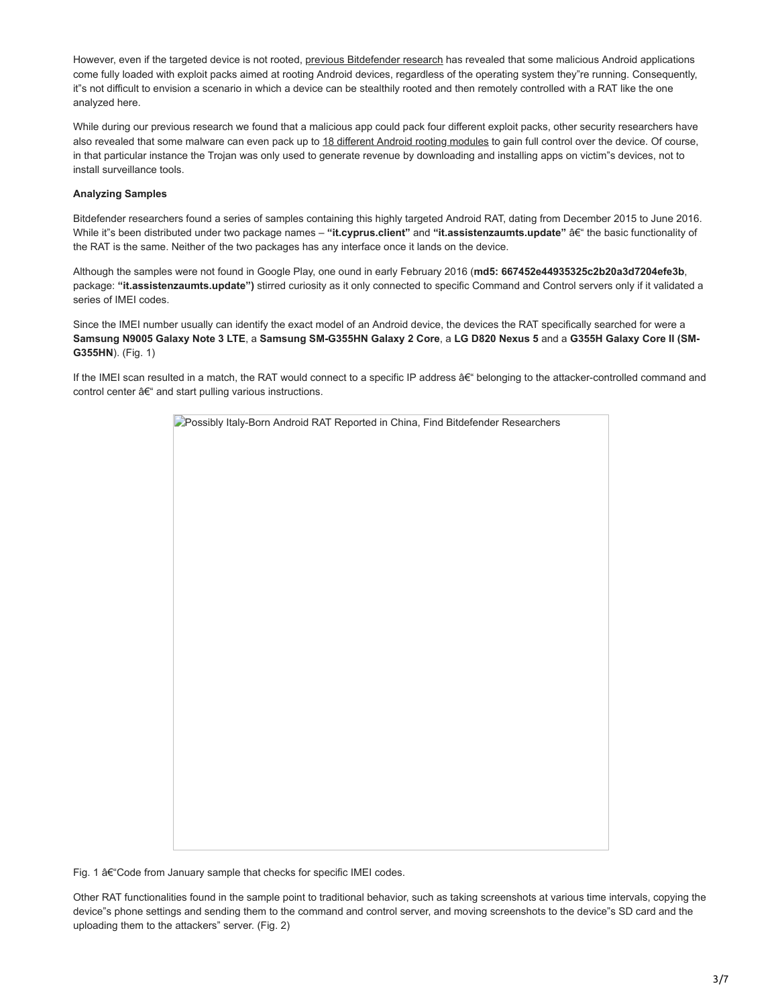However, even if the targeted device is not rooted, [previous Bitdefender research](https://www.hotforsecurity.com/blog/android-malware-promises-porn-but-roots-device-and-installs-other-malware-13900.html) has revealed that some malicious Android applications come fully loaded with exploit packs aimed at rooting Android devices, regardless of the operating system they"re running. Consequently, it"s not difficult to envision a scenario in which a device can be stealthily rooted and then remotely controlled with a RAT like the one analyzed here.

While during our previous research we found that a malicious app could pack four different exploit packs, other security researchers have also revealed that some malware can even pack up to [18 different Android rooting modules](http://www.cmcm.com/blog/en/security/2016-06-29/995.html) to gain full control over the device. Of course, in that particular instance the Trojan was only used to generate revenue by downloading and installing apps on victim"s devices, not to install surveillance tools.

## **Analyzing Samples**

Bitdefender researchers found a series of samples containing this highly targeted Android RAT, dating from December 2015 to June 2016. While it"s been distributed under two package names – "it.cyprus.client" and "it.assistenzaumts.update" â€" the basic functionality of the RAT is the same. Neither of the two packages has any interface once it lands on the device.

Although the samples were not found in Google Play, one ound in early February 2016 (**md5: 667452e44935325c2b20a3d7204efe3b**, package: **"it.assistenzaumts.update")** stirred curiosity as it only connected to specific Command and Control servers only if it validated a series of IMEI codes.

Since the IMEI number usually can identify the exact model of an Android device, the devices the RAT specifically searched for were a **Samsung N9005 Galaxy Note 3 LTE**, a **Samsung SM-G355HN Galaxy 2 Core**, a **LG D820 Nexus 5** and a **G355H Galaxy Core II (SM-G355HN**). (Fig. 1)

If the IMEI scan resulted in a match, the RAT would connect to a specific IP address â€" belonging to the attacker-controlled command and control center  $a \in \mathbb{C}^n$  and start pulling various instructions.

|  |  | Possibly Italy-Born Android RAT Reported in China, Find Bitdefender Researchers |  |
|--|--|---------------------------------------------------------------------------------|--|
|  |  |                                                                                 |  |
|  |  |                                                                                 |  |
|  |  |                                                                                 |  |
|  |  |                                                                                 |  |
|  |  |                                                                                 |  |
|  |  |                                                                                 |  |
|  |  |                                                                                 |  |
|  |  |                                                                                 |  |
|  |  |                                                                                 |  |
|  |  |                                                                                 |  |
|  |  |                                                                                 |  |
|  |  |                                                                                 |  |
|  |  |                                                                                 |  |
|  |  |                                                                                 |  |

Fig. 1 å€ "Code from January sample that checks for specific IMEI codes.

Other RAT functionalities found in the sample point to traditional behavior, such as taking screenshots at various time intervals, copying the device"s phone settings and sending them to the command and control server, and moving screenshots to the device"s SD card and the uploading them to the attackers" server. (Fig. 2)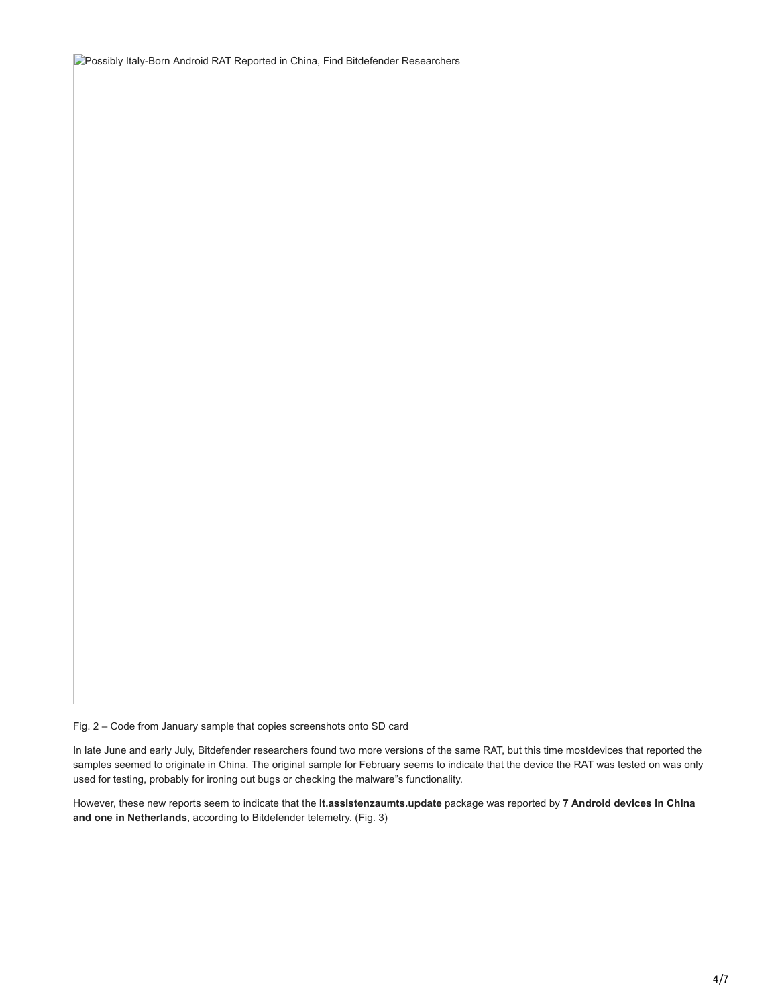**Possibly Italy-Born Android RAT Reported in China, Find Bitdefender Researchers** 

Fig. 2 – Code from January sample that copies screenshots onto SD card

In late June and early July, Bitdefender researchers found two more versions of the same RAT, but this time mostdevices that reported the samples seemed to originate in China. The original sample for February seems to indicate that the device the RAT was tested on was only used for testing, probably for ironing out bugs or checking the malware"s functionality.

However, these new reports seem to indicate that the **it.assistenzaumts.update** package was reported by **7 Android devices in China and one in Netherlands**, according to Bitdefender telemetry. (Fig. 3)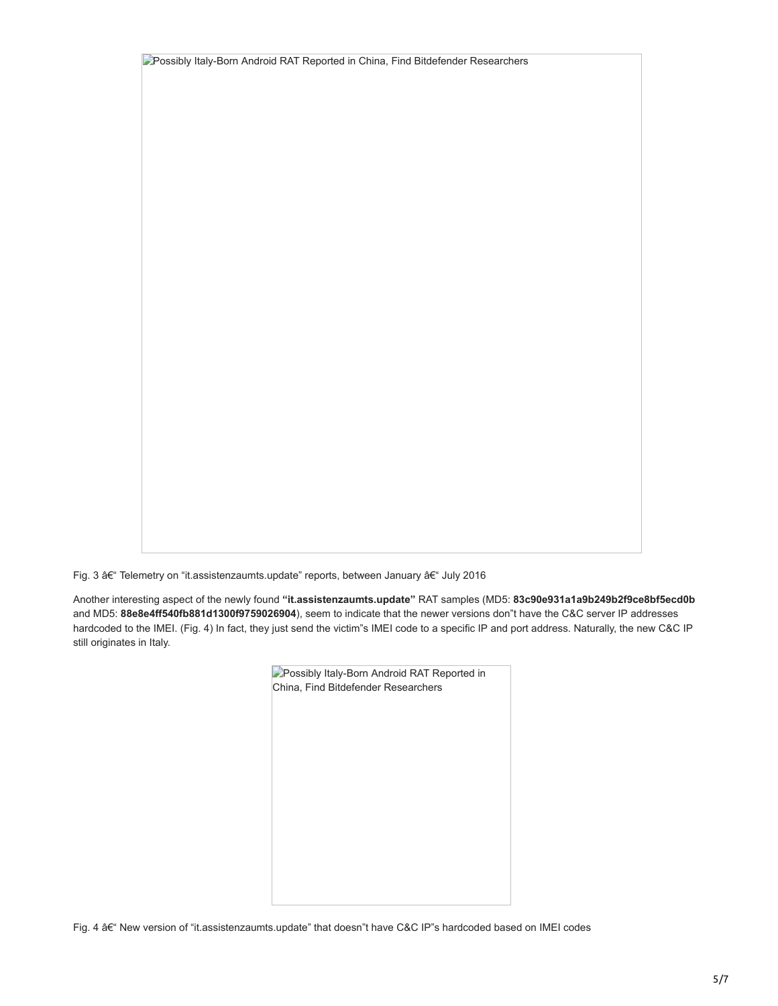**Possibly Italy-Born Android RAT Reported in China, Find Bitdefender Researchers** 

Fig. 3 – Telemetry on "it.assistenzaumts.update" reports, between January – July 2016

Another interesting aspect of the newly found **"it.assistenzaumts.update"** RAT samples (MD5: **83c90e931a1a9b249b2f9ce8bf5ecd0b** and MD5: **88e8e4ff540fb881d1300f9759026904**), seem to indicate that the newer versions don"t have the C&C server IP addresses hardcoded to the IMEI. (Fig. 4) In fact, they just send the victim"s IMEI code to a specific IP and port address. Naturally, the new C&C IP still originates in Italy.

| <b>D</b> Possibly Italy-Born Android RAT Reported in |  |  |  |  |  |  |
|------------------------------------------------------|--|--|--|--|--|--|
| China, Find Bitdefender Researchers                  |  |  |  |  |  |  |
|                                                      |  |  |  |  |  |  |
|                                                      |  |  |  |  |  |  |
|                                                      |  |  |  |  |  |  |
|                                                      |  |  |  |  |  |  |
|                                                      |  |  |  |  |  |  |
|                                                      |  |  |  |  |  |  |
|                                                      |  |  |  |  |  |  |
|                                                      |  |  |  |  |  |  |
|                                                      |  |  |  |  |  |  |
|                                                      |  |  |  |  |  |  |

Fig. 4  $A\epsilon$ " New version of "it.assistenzaumts.update" that doesn"t have C&C IP"s hardcoded based on IMEI codes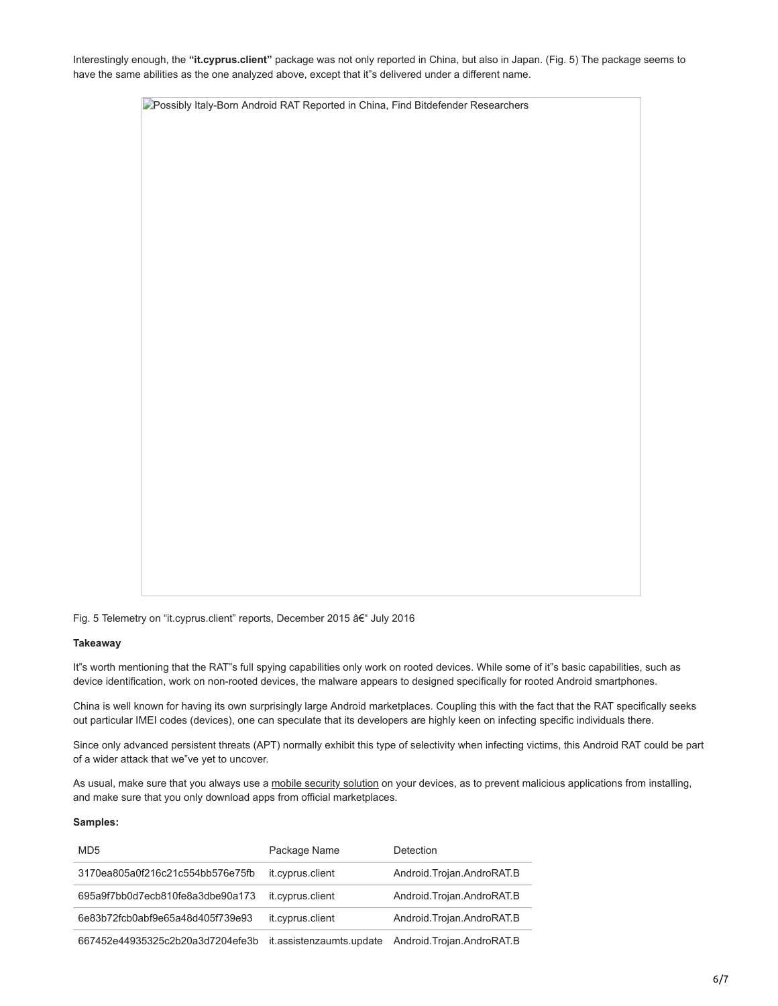Interestingly enough, the **"it.cyprus.client"** package was not only reported in China, but also in Japan. (Fig. 5) The package seems to have the same abilities as the one analyzed above, except that it"s delivered under a different name.

**P**Possibly Italy-Born Android RAT Reported in China, Find Bitdefender Researchers

Fig. 5 Telemetry on "it.cyprus.client" reports, December 2015 †July 2016

#### **Takeaway**

It"s worth mentioning that the RAT"s full spying capabilities only work on rooted devices. While some of it"s basic capabilities, such as device identification, work on non-rooted devices, the malware appears to designed specifically for rooted Android smartphones.

China is well known for having its own surprisingly large Android marketplaces. Coupling this with the fact that the RAT specifically seeks out particular IMEI codes (devices), one can speculate that its developers are highly keen on infecting specific individuals there.

Since only advanced persistent threats (APT) normally exhibit this type of selectivity when infecting victims, this Android RAT could be part of a wider attack that we"ve yet to uncover.

As usual, make sure that you always use a [mobile security solution](http://www.bitdefender.com/solutions/mobile-security-android.html) on your devices, as to prevent malicious applications from installing, and make sure that you only download apps from official marketplaces.

### **Samples:**

| MD <sub>5</sub>                  | Package Name             | Detection                    |
|----------------------------------|--------------------------|------------------------------|
| 3170ea805a0f216c21c554bb576e75fb | it.cyprus.client         | Android. Trojan. AndroRAT. B |
| 695a9f7bb0d7ecb810fe8a3dbe90a173 | it.cyprus.client         | Android. Trojan. AndroRAT. B |
| 6e83b72fcb0abf9e65a48d405f739e93 | it.cyprus.client         | Android.Trojan.AndroRAT.B    |
| 667452e44935325c2b20a3d7204efe3b | it.assistenzaumts.update | Android.Trojan.AndroRAT.B    |